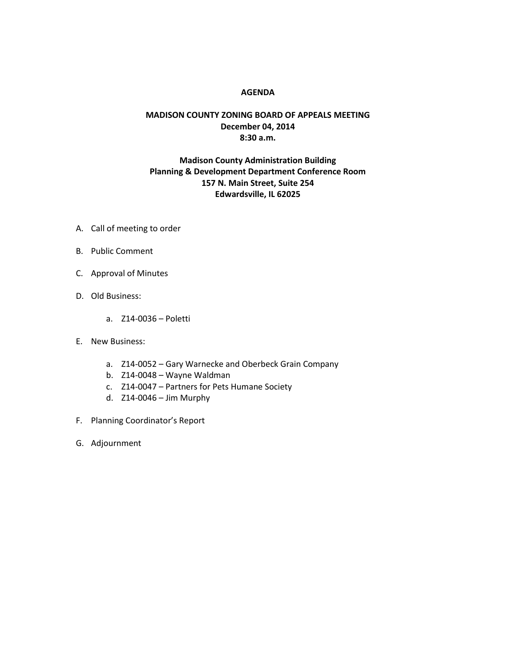## **AGENDA**

## **MADISON COUNTY ZONING BOARD OF APPEALS MEETING December 04, 2014 8:30 a.m.**

## **Madison County Administration Building Planning & Development Department Conference Room 157 N. Main Street, Suite 254 Edwardsville, IL 62025**

- A. Call of meeting to order
- B. Public Comment
- C. Approval of Minutes
- D. Old Business:
	- a. Z14-0036 Poletti
- E. New Business:
	- a. Z14-0052 Gary Warnecke and Oberbeck Grain Company
	- b. Z14-0048 Wayne Waldman
	- c. Z14-0047 Partners for Pets Humane Society
	- d. Z14-0046 Jim Murphy
- F. Planning Coordinator's Report
- G. Adjournment